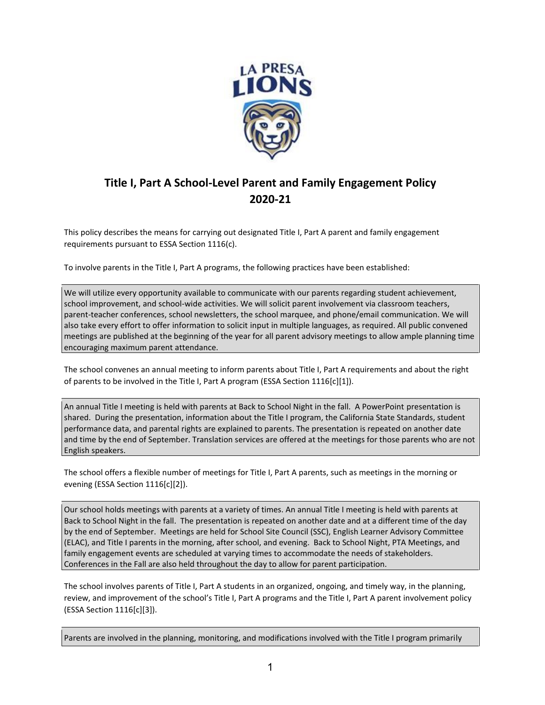

## **Title I, Part A School-Level Parent and Family Engagement Policy 2020-21**

This policy describes the means for carrying out designated Title I, Part A parent and family engagement requirements pursuant to ESSA Section 1116(c).

To involve parents in the Title I, Part A programs, the following practices have been established:

We will utilize every opportunity available to communicate with our parents regarding student achievement, school improvement, and school-wide activities. We will solicit parent involvement via classroom teachers, parent-teacher conferences, school newsletters, the school marquee, and phone/email communication. We will also take every effort to offer information to solicit input in multiple languages, as required. All public convened meetings are published at the beginning of the year for all parent advisory meetings to allow ample planning time encouraging maximum parent attendance.

The school convenes an annual meeting to inform parents about Title I, Part A requirements and about the right of parents to be involved in the Title I, Part A program (ESSA Section 1116[c][1]).

An annual Title I meeting is held with parents at Back to School Night in the fall. A PowerPoint presentation is shared. During the presentation, information about the Title I program, the California State Standards, student performance data, and parental rights are explained to parents. The presentation is repeated on another date and time by the end of September. Translation services are offered at the meetings for those parents who are not English speakers.

The school offers a flexible number of meetings for Title I, Part A parents, such as meetings in the morning or evening (ESSA Section 1116[c][2]).

Our school holds meetings with parents at a variety of times. An annual Title I meeting is held with parents at Back to School Night in the fall. The presentation is repeated on another date and at a different time of the day by the end of September. Meetings are held for School Site Council (SSC), English Learner Advisory Committee (ELAC), and Title I parents in the morning, after school, and evening. Back to School Night, PTA Meetings, and family engagement events are scheduled at varying times to accommodate the needs of stakeholders. Conferences in the Fall are also held throughout the day to allow for parent participation.

The school involves parents of Title I, Part A students in an organized, ongoing, and timely way, in the planning, review, and improvement of the school's Title I, Part A programs and the Title I, Part A parent involvement policy (ESSA Section 1116[c][3]).

Parents are involved in the planning, monitoring, and modifications involved with the Title I program primarily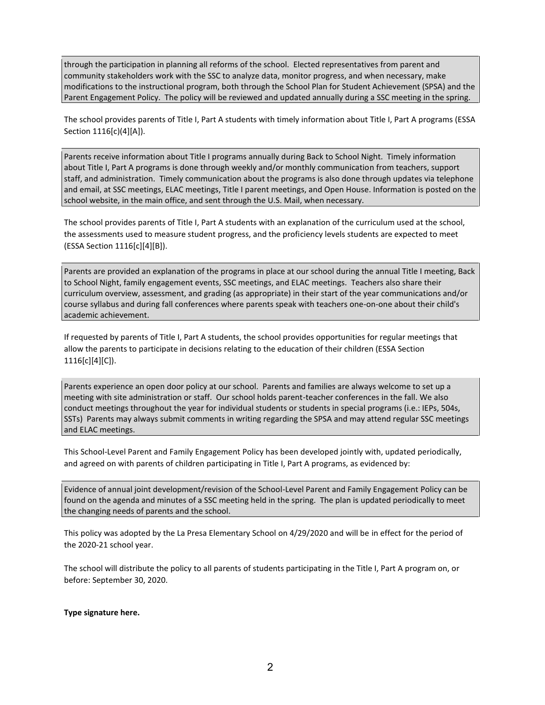through the participation in planning all reforms of the school. Elected representatives from parent and community stakeholders work with the SSC to analyze data, monitor progress, and when necessary, make modifications to the instructional program, both through the School Plan for Student Achievement (SPSA) and the Parent Engagement Policy. The policy will be reviewed and updated annually during a SSC meeting in the spring.

The school provides parents of Title I, Part A students with timely information about Title I, Part A programs (ESSA Section 1116[c)(4][A]).

Parents receive information about Title I programs annually during Back to School Night. Timely information about Title I, Part A programs is done through weekly and/or monthly communication from teachers, support staff, and administration. Timely communication about the programs is also done through updates via telephone and email, at SSC meetings, ELAC meetings, Title I parent meetings, and Open House. Information is posted on the school website, in the main office, and sent through the U.S. Mail, when necessary.

The school provides parents of Title I, Part A students with an explanation of the curriculum used at the school, the assessments used to measure student progress, and the proficiency levels students are expected to meet (ESSA Section 1116[c][4][B]).

Parents are provided an explanation of the programs in place at our school during the annual Title I meeting, Back to School Night, family engagement events, SSC meetings, and ELAC meetings. Teachers also share their curriculum overview, assessment, and grading (as appropriate) in their start of the year communications and/or course syllabus and during fall conferences where parents speak with teachers one-on-one about their child's academic achievement.

If requested by parents of Title I, Part A students, the school provides opportunities for regular meetings that allow the parents to participate in decisions relating to the education of their children (ESSA Section 1116[c][4][C]).

Parents experience an open door policy at our school. Parents and families are always welcome to set up a meeting with site administration or staff. Our school holds parent-teacher conferences in the fall. We also conduct meetings throughout the year for individual students or students in special programs (i.e.: IEPs, 504s, SSTs) Parents may always submit comments in writing regarding the SPSA and may attend regular SSC meetings and ELAC meetings.

This School-Level Parent and Family Engagement Policy has been developed jointly with, updated periodically, and agreed on with parents of children participating in Title I, Part A programs, as evidenced by:

Evidence of annual joint development/revision of the School-Level Parent and Family Engagement Policy can be found on the agenda and minutes of a SSC meeting held in the spring. The plan is updated periodically to meet the changing needs of parents and the school.

This policy was adopted by the La Presa Elementary School on 4/29/2020 and will be in effect for the period of the 2020-21 school year.

The school will distribute the policy to all parents of students participating in the Title I, Part A program on, or before: September 30, 2020.

**Type signature here.**